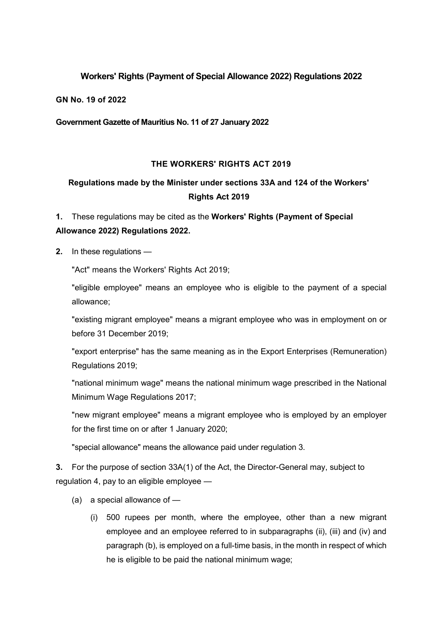### **Workers' Rights (Payment of Special Allowance 2022) Regulations 2022**

#### **GN No. 19 of 2022**

### **Government Gazette of Mauritius No. 11 of 27 January 2022**

### **THE WORKERS' RIGHTS ACT 2019**

## **Regulations made by the Minister under sections 33A and 124 of the Workers' Rights Act 2019**

# **1.** These regulations may be cited as the **Workers' Rights (Payment of Special Allowance 2022) Regulations 2022.**

**2.** In these regulations —

"Act" means the Workers' Rights Act 2019;

"eligible employee" means an employee who is eligible to the payment of a special allowance;

"existing migrant employee" means a migrant employee who was in employment on or before 31 December 2019;

"export enterprise" has the same meaning as in the Export Enterprises (Remuneration) Regulations 2019;

"national minimum wage" means the national minimum wage prescribed in the National Minimum Wage Regulations 2017;

"new migrant employee" means a migrant employee who is employed by an employer for the first time on or after 1 January 2020;

"special allowance" means the allowance paid under regulation 3.

**3.** For the purpose of section 33A(1) of the Act, the Director-General may, subject to regulation 4, pay to an eligible employee —

- (a) a special allowance of
	- (i) 500 rupees per month, where the employee, other than a new migrant employee and an employee referred to in subparagraphs (ii), (iii) and (iv) and paragraph (b), is employed on a full-time basis, in the month in respect of which he is eligible to be paid the national minimum wage;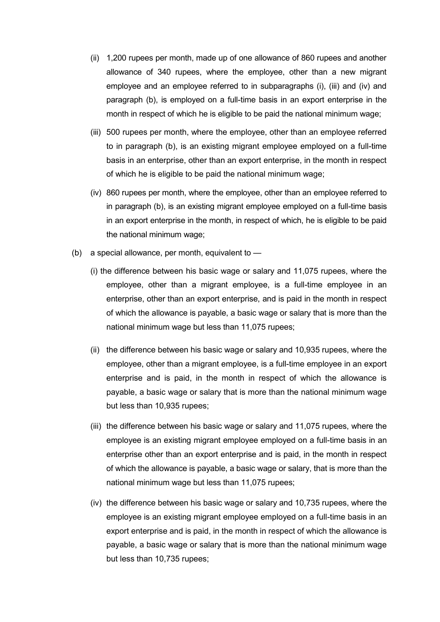- (ii) 1,200 rupees per month, made up of one allowance of 860 rupees and another allowance of 340 rupees, where the employee, other than a new migrant employee and an employee referred to in subparagraphs (i), (iii) and (iv) and paragraph (b), is employed on a full-time basis in an export enterprise in the month in respect of which he is eligible to be paid the national minimum wage;
- (iii) 500 rupees per month, where the employee, other than an employee referred to in paragraph (b), is an existing migrant employee employed on a full-time basis in an enterprise, other than an export enterprise, in the month in respect of which he is eligible to be paid the national minimum wage;
- (iv) 860 rupees per month, where the employee, other than an employee referred to in paragraph (b), is an existing migrant employee employed on a full-time basis in an export enterprise in the month, in respect of which, he is eligible to be paid the national minimum wage;
- (b) a special allowance, per month, equivalent to
	- (i) the difference between his basic wage or salary and 11,075 rupees, where the employee, other than a migrant employee, is a full-time employee in an enterprise, other than an export enterprise, and is paid in the month in respect of which the allowance is payable, a basic wage or salary that is more than the national minimum wage but less than 11,075 rupees;
	- (ii) the difference between his basic wage or salary and 10,935 rupees, where the employee, other than a migrant employee, is a full-time employee in an export enterprise and is paid, in the month in respect of which the allowance is payable, a basic wage or salary that is more than the national minimum wage but less than 10,935 rupees;
	- (iii) the difference between his basic wage or salary and 11,075 rupees, where the employee is an existing migrant employee employed on a full-time basis in an enterprise other than an export enterprise and is paid, in the month in respect of which the allowance is payable, a basic wage or salary, that is more than the national minimum wage but less than 11,075 rupees;
	- (iv) the difference between his basic wage or salary and 10,735 rupees, where the employee is an existing migrant employee employed on a full-time basis in an export enterprise and is paid, in the month in respect of which the allowance is payable, a basic wage or salary that is more than the national minimum wage but less than 10,735 rupees;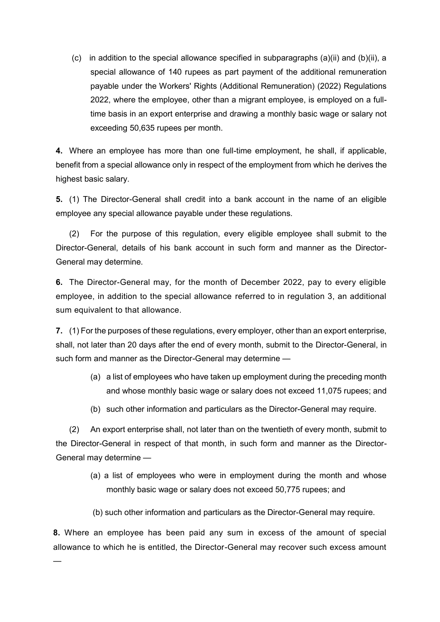(c) in addition to the special allowance specified in subparagraphs  $(a)(ii)$  and  $(b)(ii)$ , a special allowance of 140 rupees as part payment of the additional remuneration payable under the Workers' Rights (Additional Remuneration) (2022) Regulations 2022, where the employee, other than a migrant employee, is employed on a fulltime basis in an export enterprise and drawing a monthly basic wage or salary not exceeding 50,635 rupees per month.

**4.** Where an employee has more than one full-time employment, he shall, if applicable, benefit from a special allowance only in respect of the employment from which he derives the highest basic salary.

**5.** (1) The Director-General shall credit into a bank account in the name of an eligible employee any special allowance payable under these regulations.

(2) For the purpose of this regulation, every eligible employee shall submit to the Director-General, details of his bank account in such form and manner as the Director-General may determine.

**6.** The Director-General may, for the month of December 2022, pay to every eligible employee, in addition to the special allowance referred to in regulation 3, an additional sum equivalent to that allowance.

**7.** (1) For the purposes of these regulations, every employer, other than an export enterprise, shall, not later than 20 days after the end of every month, submit to the Director-General, in such form and manner as the Director-General may determine —

- (a) a list of employees who have taken up employment during the preceding month and whose monthly basic wage or salary does not exceed 11,075 rupees; and
- (b) such other information and particulars as the Director-General may require.

(2) An export enterprise shall, not later than on the twentieth of every month, submit to the Director-General in respect of that month, in such form and manner as the Director-General may determine —

- (a) a list of employees who were in employment during the month and whose monthly basic wage or salary does not exceed 50,775 rupees; and
- (b) such other information and particulars as the Director-General may require.

**8.** Where an employee has been paid any sum in excess of the amount of special allowance to which he is entitled, the Director-General may recover such excess amount

—